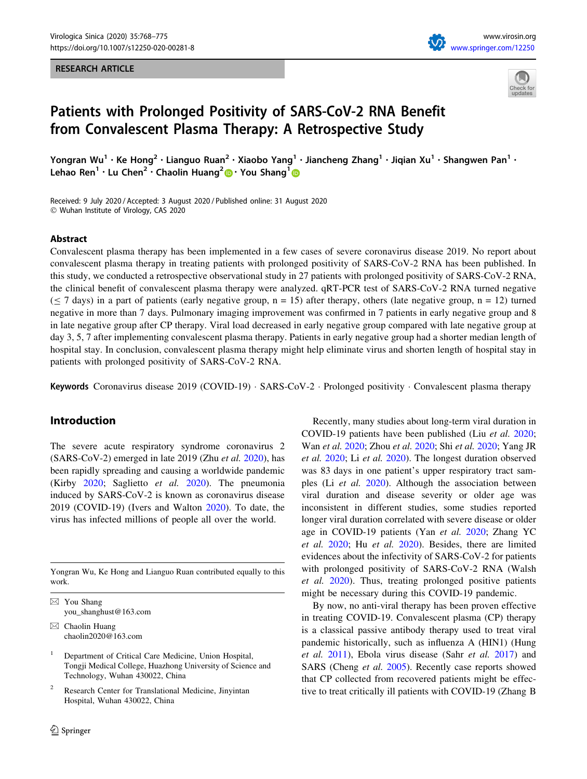#### RESEARCH ARTICLE





# Patients with Prolonged Positivity of SARS-CoV-2 RNA Benefit from Convalescent Plasma Therapy: A Retrospective Study

Yongran Wu<sup>1</sup> • Ke Hong<sup>2</sup> • Lianguo Ruan<sup>2</sup> • Xiaobo Yang<sup>1</sup> • Jiancheng Zhang<sup>1</sup> • Jiqian Xu<sup>1</sup> • Shangwen Pan<sup>1</sup> • Lehao Ren<sup>1</sup> · Lu Chen<sup>2</sup> · Chaolin Huang<sup>2</sup> • You Shang<sup>1</sup> •

Received: 9 July 2020 / Accepted: 3 August 2020 / Published online: 31 August 2020 - Wuhan Institute of Virology, CAS 2020

#### Abstract

Convalescent plasma therapy has been implemented in a few cases of severe coronavirus disease 2019. No report about convalescent plasma therapy in treating patients with prolonged positivity of SARS-CoV-2 RNA has been published. In this study, we conducted a retrospective observational study in 27 patients with prolonged positivity of SARS-CoV-2 RNA, the clinical benefit of convalescent plasma therapy were analyzed. qRT-PCR test of SARS-CoV-2 RNA turned negative  $(\leq 7$  days) in a part of patients (early negative group, n = 15) after therapy, others (late negative group, n = 12) turned negative in more than 7 days. Pulmonary imaging improvement was confirmed in 7 patients in early negative group and 8 in late negative group after CP therapy. Viral load decreased in early negative group compared with late negative group at day 3, 5, 7 after implementing convalescent plasma therapy. Patients in early negative group had a shorter median length of hospital stay. In conclusion, convalescent plasma therapy might help eliminate virus and shorten length of hospital stay in patients with prolonged positivity of SARS-CoV-2 RNA.

Keywords Coronavirus disease 2019 (COVID-19) · SARS-CoV-2 · Prolonged positivity · Convalescent plasma therapy

# Introduction

The severe acute respiratory syndrome coronavirus 2  $(SARS-CoV-2)$  emerged in late 2019 (Zhu *et al.* [2020](#page-7-0)), has been rapidly spreading and causing a worldwide pandemic (Kirby [2020;](#page-7-0) Saglietto et al. [2020](#page-7-0)). The pneumonia induced by SARS-CoV-2 is known as coronavirus disease 2019 (COVID-19) (Ivers and Walton [2020](#page-6-0)). To date, the virus has infected millions of people all over the world.

Yongran Wu, Ke Hong and Lianguo Ruan contributed equally to this work.

 $\boxtimes$  You Shang you\_shanghust@163.com

 $\boxtimes$  Chaolin Huang chaolin2020@163.com

<sup>1</sup> Department of Critical Care Medicine, Union Hospital, Tongji Medical College, Huazhong University of Science and Technology, Wuhan 430022, China

Research Center for Translational Medicine, Jinyintan Hospital, Wuhan 430022, China

Recently, many studies about long-term viral duration in COVID-19 patients have been published (Liu et al. [2020](#page-7-0); Wan et al. [2020;](#page-7-0) Zhou et al. [2020](#page-7-0); Shi et al. [2020](#page-7-0); Yang JR et al. [2020;](#page-7-0) Li et al. [2020\)](#page-7-0). The longest duration observed was 83 days in one patient's upper respiratory tract samples (Li et al. [2020](#page-7-0)). Although the association between viral duration and disease severity or older age was inconsistent in different studies, some studies reported longer viral duration correlated with severe disease or older age in COVID-19 patients (Yan et al. [2020](#page-7-0); Zhang YC et al. [2020](#page-7-0); Hu et al. [2020\)](#page-6-0). Besides, there are limited evidences about the infectivity of SARS-CoV-2 for patients with prolonged positivity of SARS-CoV-2 RNA (Walsh et al. [2020\)](#page-7-0). Thus, treating prolonged positive patients might be necessary during this COVID-19 pandemic.

By now, no anti-viral therapy has been proven effective in treating COVID-19. Convalescent plasma (CP) therapy is a classical passive antibody therapy used to treat viral pandemic historically, such as influenza A (HIN1) (Hung et al. [2011\)](#page-6-0), Ebola virus disease (Sahr et al. [2017\)](#page-7-0) and SARS (Cheng et al. [2005\)](#page-6-0). Recently case reports showed that CP collected from recovered patients might be effective to treat critically ill patients with COVID-19 (Zhang B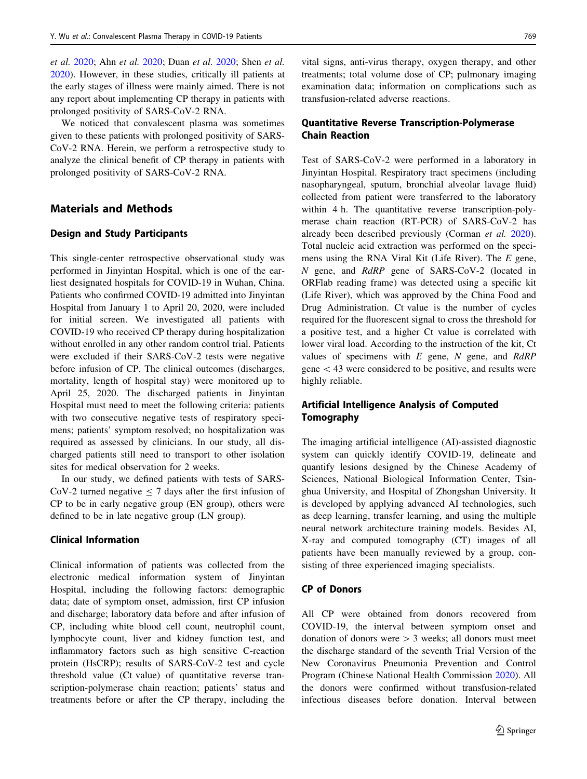et al. [2020;](#page-7-0) Ahn et al. [2020;](#page-6-0) Duan et al. [2020](#page-6-0); Shen et al. [2020\)](#page-7-0). However, in these studies, critically ill patients at the early stages of illness were mainly aimed. There is not any report about implementing CP therapy in patients with prolonged positivity of SARS-CoV-2 RNA.

We noticed that convalescent plasma was sometimes given to these patients with prolonged positivity of SARS-CoV-2 RNA. Herein, we perform a retrospective study to analyze the clinical benefit of CP therapy in patients with prolonged positivity of SARS-CoV-2 RNA.

# Materials and Methods

#### Design and Study Participants

This single-center retrospective observational study was performed in Jinyintan Hospital, which is one of the earliest designated hospitals for COVID-19 in Wuhan, China. Patients who confirmed COVID-19 admitted into Jinyintan Hospital from January 1 to April 20, 2020, were included for initial screen. We investigated all patients with COVID-19 who received CP therapy during hospitalization without enrolled in any other random control trial. Patients were excluded if their SARS-CoV-2 tests were negative before infusion of CP. The clinical outcomes (discharges, mortality, length of hospital stay) were monitored up to April 25, 2020. The discharged patients in Jinyintan Hospital must need to meet the following criteria: patients with two consecutive negative tests of respiratory specimens; patients' symptom resolved; no hospitalization was required as assessed by clinicians. In our study, all discharged patients still need to transport to other isolation sites for medical observation for 2 weeks.

In our study, we defined patients with tests of SARS-CoV-2 turned negative  $\leq$  7 days after the first infusion of CP to be in early negative group (EN group), others were defined to be in late negative group (LN group).

### Clinical Information

Clinical information of patients was collected from the electronic medical information system of Jinyintan Hospital, including the following factors: demographic data; date of symptom onset, admission, first CP infusion and discharge; laboratory data before and after infusion of CP, including white blood cell count, neutrophil count, lymphocyte count, liver and kidney function test, and inflammatory factors such as high sensitive C-reaction protein (HsCRP); results of SARS-CoV-2 test and cycle threshold value (Ct value) of quantitative reverse transcription-polymerase chain reaction; patients' status and treatments before or after the CP therapy, including the

vital signs, anti-virus therapy, oxygen therapy, and other treatments; total volume dose of CP; pulmonary imaging examination data; information on complications such as transfusion-related adverse reactions.

## Quantitative Reverse Transcription-Polymerase Chain Reaction

Test of SARS-CoV-2 were performed in a laboratory in Jinyintan Hospital. Respiratory tract specimens (including nasopharyngeal, sputum, bronchial alveolar lavage fluid) collected from patient were transferred to the laboratory within 4 h. The quantitative reverse transcription-polymerase chain reaction (RT-PCR) of SARS-CoV-2 has already been described previously (Corman et al. [2020](#page-6-0)). Total nucleic acid extraction was performed on the specimens using the RNA Viral Kit (Life River). The E gene, N gene, and RdRP gene of SARS-CoV-2 (located in ORFlab reading frame) was detected using a specific kit (Life River), which was approved by the China Food and Drug Administration. Ct value is the number of cycles required for the fluorescent signal to cross the threshold for a positive test, and a higher Ct value is correlated with lower viral load. According to the instruction of the kit, Ct values of specimens with  $E$  gene,  $N$  gene, and  $RdRP$ gene  $\lt$  43 were considered to be positive, and results were highly reliable.

## Artificial Intelligence Analysis of Computed Tomography

The imaging artificial intelligence (AI)-assisted diagnostic system can quickly identify COVID-19, delineate and quantify lesions designed by the Chinese Academy of Sciences, National Biological Information Center, Tsinghua University, and Hospital of Zhongshan University. It is developed by applying advanced AI technologies, such as deep learning, transfer learning, and using the multiple neural network architecture training models. Besides AI, X-ray and computed tomography (CT) images of all patients have been manually reviewed by a group, consisting of three experienced imaging specialists.

#### CP of Donors

All CP were obtained from donors recovered from COVID-19, the interval between symptom onset and donation of donors were  $> 3$  weeks; all donors must meet the discharge standard of the seventh Trial Version of the New Coronavirus Pneumonia Prevention and Control Program (Chinese National Health Commission [2020\)](#page-6-0). All the donors were confirmed without transfusion-related infectious diseases before donation. Interval between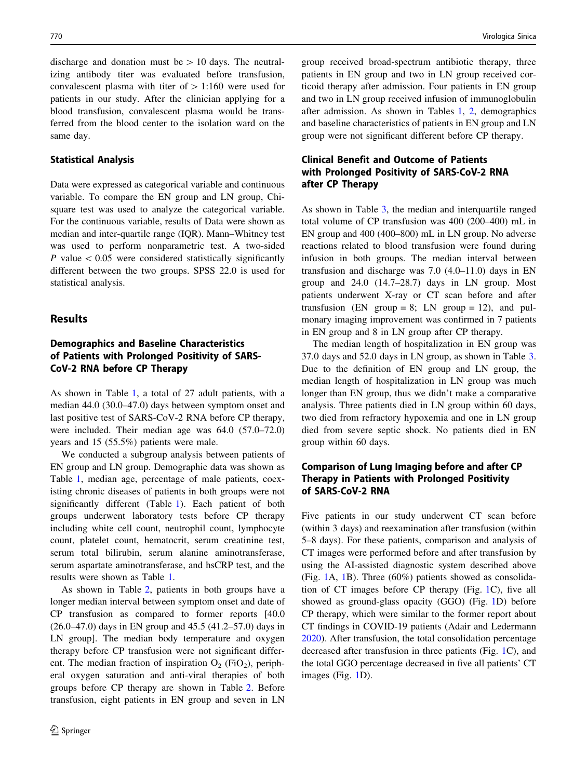discharge and donation must be  $> 10$  days. The neutralizing antibody titer was evaluated before transfusion, convalescent plasma with titer of  $> 1:160$  were used for patients in our study. After the clinician applying for a blood transfusion, convalescent plasma would be transferred from the blood center to the isolation ward on the same day.

#### Statistical Analysis

Data were expressed as categorical variable and continuous variable. To compare the EN group and LN group, Chisquare test was used to analyze the categorical variable. For the continuous variable, results of Data were shown as median and inter-quartile range (IQR). Mann–Whitney test was used to perform nonparametric test. A two-sided P value  $\lt$  0.05 were considered statistically significantly different between the two groups. SPSS 22.0 is used for statistical analysis.

#### **Results**

# Demographics and Baseline Characteristics of Patients with Prolonged Positivity of SARS-CoV-2 RNA before CP Therapy

As shown in Table [1,](#page-3-0) a total of 27 adult patients, with a median 44.0 (30.0–47.0) days between symptom onset and last positive test of SARS-CoV-2 RNA before CP therapy, were included. Their median age was 64.0 (57.0–72.0) years and 15 (55.5%) patients were male.

We conducted a subgroup analysis between patients of EN group and LN group. Demographic data was shown as Table [1](#page-3-0), median age, percentage of male patients, coexisting chronic diseases of patients in both groups were not significantly different (Table [1\)](#page-3-0). Each patient of both groups underwent laboratory tests before CP therapy including white cell count, neutrophil count, lymphocyte count, platelet count, hematocrit, serum creatinine test, serum total bilirubin, serum alanine aminotransferase, serum aspartate aminotransferase, and hsCRP test, and the results were shown as Table [1](#page-3-0).

As shown in Table [2,](#page-4-0) patients in both groups have a longer median interval between symptom onset and date of CP transfusion as compared to former reports [40.0 (26.0–47.0) days in EN group and 45.5 (41.2–57.0) days in LN group]. The median body temperature and oxygen therapy before CP transfusion were not significant different. The median fraction of inspiration  $O_2$  (FiO<sub>2</sub>), peripheral oxygen saturation and anti-viral therapies of both groups before CP therapy are shown in Table [2.](#page-4-0) Before transfusion, eight patients in EN group and seven in LN group received broad-spectrum antibiotic therapy, three patients in EN group and two in LN group received corticoid therapy after admission. Four patients in EN group and two in LN group received infusion of immunoglobulin after admission. As shown in Tables [1](#page-3-0), [2](#page-4-0), demographics and baseline characteristics of patients in EN group and LN group were not significant different before CP therapy.

## Clinical Benefit and Outcome of Patients with Prolonged Positivity of SARS-CoV-2 RNA after CP Therapy

As shown in Table [3](#page-4-0), the median and interquartile ranged total volume of CP transfusion was 400 (200–400) mL in EN group and 400 (400–800) mL in LN group. No adverse reactions related to blood transfusion were found during infusion in both groups. The median interval between transfusion and discharge was 7.0 (4.0–11.0) days in EN group and 24.0 (14.7–28.7) days in LN group. Most patients underwent X-ray or CT scan before and after transfusion (EN group = 8; LN group = 12), and pulmonary imaging improvement was confirmed in 7 patients in EN group and 8 in LN group after CP therapy.

The median length of hospitalization in EN group was 37.0 days and 52.0 days in LN group, as shown in Table [3.](#page-4-0) Due to the definition of EN group and LN group, the median length of hospitalization in LN group was much longer than EN group, thus we didn't make a comparative analysis. Three patients died in LN group within 60 days, two died from refractory hypoxemia and one in LN group died from severe septic shock. No patients died in EN group within 60 days.

## Comparison of Lung Imaging before and after CP Therapy in Patients with Prolonged Positivity of SARS-CoV-2 RNA

Five patients in our study underwent CT scan before (within 3 days) and reexamination after transfusion (within 5–8 days). For these patients, comparison and analysis of CT images were performed before and after transfusion by using the AI-assisted diagnostic system described above (Fig. [1A](#page-5-0), [1B](#page-5-0)). Three (60%) patients showed as consolidation of CT images before CP therapy (Fig. [1C](#page-5-0)), five all showed as ground-glass opacity (GGO) (Fig. [1D](#page-5-0)) before CP therapy, which were similar to the former report about CT findings in COVID-19 patients (Adair and Ledermann [2020](#page-6-0)). After transfusion, the total consolidation percentage decreased after transfusion in three patients (Fig. [1](#page-5-0)C), and the total GGO percentage decreased in five all patients' CT images (Fig. [1](#page-5-0)D).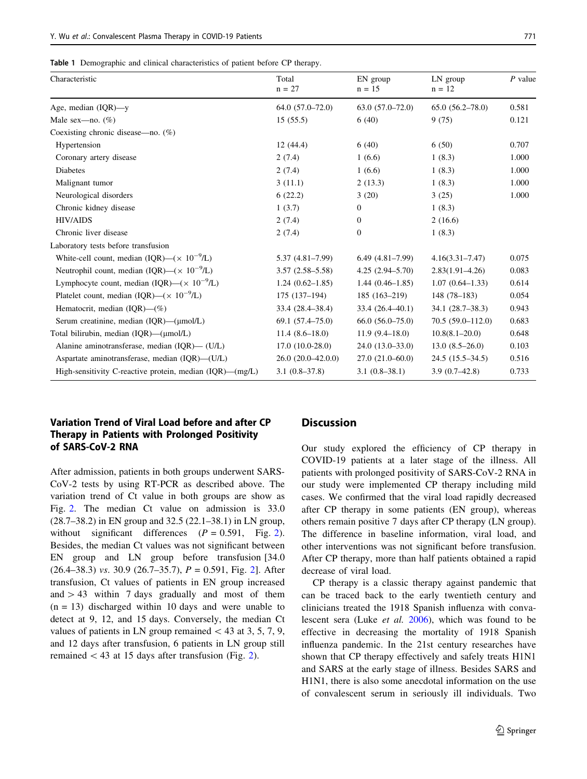<span id="page-3-0"></span>

|  | Table 1 Demographic and clinical characteristics of patient before CP therapy. |  |  |  |  |  |  |  |  |
|--|--------------------------------------------------------------------------------|--|--|--|--|--|--|--|--|
|--|--------------------------------------------------------------------------------|--|--|--|--|--|--|--|--|

| Characteristic                                                 | Total<br>$n = 27$   | EN group<br>$n = 15$ | LN group<br>$n = 12$ | $P$ value |
|----------------------------------------------------------------|---------------------|----------------------|----------------------|-----------|
| Age, median $(IQR)$ —y                                         | $64.0(57.0-72.0)$   | $63.0(57.0-72.0)$    | $65.0(56.2 - 78.0)$  | 0.581     |
| Male sex—no. $(\%)$                                            | 15(55.5)            | 6(40)                | 9(75)                | 0.121     |
| Coexisting chronic disease-no. (%)                             |                     |                      |                      |           |
| Hypertension                                                   | 12(44.4)            | 6(40)                | 6(50)                | 0.707     |
| Coronary artery disease                                        | 2(7.4)              | 1(6.6)               | 1(8.3)               | 1.000     |
| Diabetes                                                       | 2(7.4)              | 1(6.6)               | 1(8.3)               | 1.000     |
| Malignant tumor                                                | 3(11.1)             | 2(13.3)              | 1(8.3)               | 1.000     |
| Neurological disorders                                         | 6(22.2)             | 3(20)                | 3(25)                | 1.000     |
| Chronic kidney disease                                         | 1(3.7)              | $\mathbf{0}$         | 1(8.3)               |           |
| <b>HIV/AIDS</b>                                                | 2(7.4)              | $\mathbf{0}$         | 2(16.6)              |           |
| Chronic liver disease                                          | 2(7.4)              | $\mathbf{0}$         | 1(8.3)               |           |
| Laboratory tests before transfusion                            |                     |                      |                      |           |
| White-cell count, median (IQR)—( $\times$ 10 <sup>-9</sup> /L) | $5.37(4.81 - 7.99)$ | $6.49(4.81-7.99)$    | $4.16(3.31 - 7.47)$  | 0.075     |
| Neutrophil count, median (IQR)— $(\times 10^{-9}$ /L)          | $3.57(2.58 - 5.58)$ | $4.25(2.94 - 5.70)$  | $2.83(1.91 - 4.26)$  | 0.083     |
| Lymphocyte count, median (IQR)—( $\times$ 10 <sup>-9</sup> /L) | $1.24(0.62 - 1.85)$ | $1.44(0.46-1.85)$    | $1.07(0.64 - 1.33)$  | 0.614     |
| Platelet count, median (IQR)—( $\times$ 10 <sup>-9</sup> /L)   | $175(137-194)$      | $185(163-219)$       | $148(78-183)$        | 0.054     |
| Hematocrit, median $(IQR)$ — $(\%)$                            | $33.4(28.4 - 38.4)$ | $33.4(26.4 - 40.1)$  | $34.1(28.7-38.3)$    | 0.943     |
| Serum creatinine, median $(IQR)$ — $(\mu$ mol/L)               | $69.1(57.4 - 75.0)$ | $66.0(56.0-75.0)$    | $70.5(59.0 - 112.0)$ | 0.683     |
| Total bilirubin, median $(IQR)$ — $(\mu$ mol/L)                | $11.4(8.6-18.0)$    | $11.9(9.4-18.0)$     | $10.8(8.1 - 20.0)$   | 0.648     |
| Alanine aminotransferase, median (IOR)— (U/L)                  | $17.0(10.0-28.0)$   | $24.0(13.0-33.0)$    | $13.0(8.5-26.0)$     | 0.103     |
| Aspartate aminotransferase, median (IQR)—(U/L)                 | $26.0(20.0-42.0.0)$ | $27.0(21.0-60.0)$    | $24.5(15.5-34.5)$    | 0.516     |
| High-sensitivity C-reactive protein, median $(IQR)$ — $(mg/L)$ | $3.1(0.8-37.8)$     | $3.1(0.8-38.1)$      | $3.9(0.7-42.8)$      | 0.733     |

## Variation Trend of Viral Load before and after CP Therapy in Patients with Prolonged Positivity of SARS-CoV-2 RNA

After admission, patients in both groups underwent SARS-CoV-2 tests by using RT-PCR as described above. The variation trend of Ct value in both groups are show as Fig. [2](#page-5-0). The median Ct value on admission is 33.0 (28.7–38.2) in EN group and 32.5 (22.1–38.1) in LN group, without significant differences  $(P = 0.591,$  Fig. [2](#page-5-0)). Besides, the median Ct values was not significant between EN group and LN group before transfusion [34.0  $(26.4-38.3)$  vs. 30.9  $(26.7-35.7)$ ,  $P = 0.591$ , Fig. [2\]](#page-5-0). After transfusion, Ct values of patients in EN group increased and  $> 43$  within 7 days gradually and most of them  $(n = 13)$  discharged within 10 days and were unable to detect at 9, 12, and 15 days. Conversely, the median Ct values of patients in LN group remained  $\lt$  43 at 3, 5, 7, 9, and 12 days after transfusion, 6 patients in LN group still remained  $\langle 43 \rangle$  at 15 days after transfusion (Fig. [2](#page-5-0)).

## **Discussion**

Our study explored the efficiency of CP therapy in COVID-19 patients at a later stage of the illness. All patients with prolonged positivity of SARS-CoV-2 RNA in our study were implemented CP therapy including mild cases. We confirmed that the viral load rapidly decreased after CP therapy in some patients (EN group), whereas others remain positive 7 days after CP therapy (LN group). The difference in baseline information, viral load, and other interventions was not significant before transfusion. After CP therapy, more than half patients obtained a rapid decrease of viral load.

CP therapy is a classic therapy against pandemic that can be traced back to the early twentieth century and clinicians treated the 1918 Spanish influenza with convalescent sera (Luke et al. [2006\)](#page-7-0), which was found to be effective in decreasing the mortality of 1918 Spanish influenza pandemic. In the 21st century researches have shown that CP therapy effectively and safely treats H1N1 and SARS at the early stage of illness. Besides SARS and H1N1, there is also some anecdotal information on the use of convalescent serum in seriously ill individuals. Two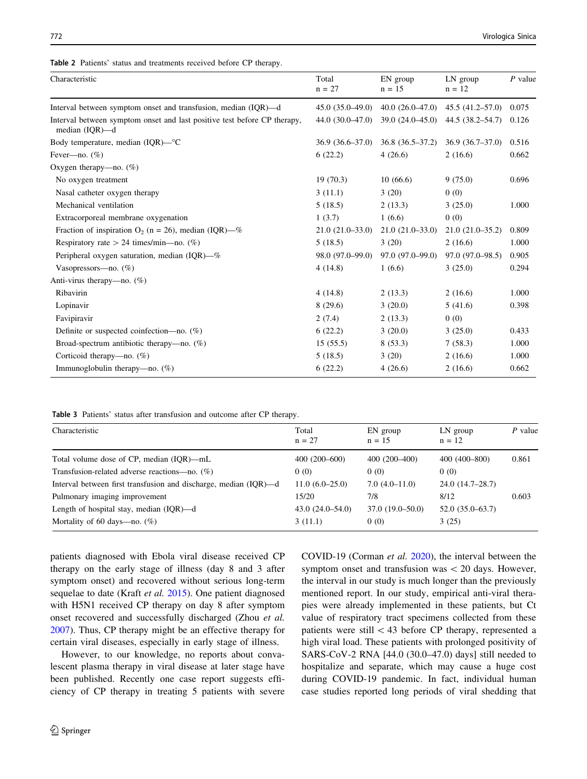<span id="page-4-0"></span>

| Characteristic                                                                                | Total<br>$n = 27$ | EN group<br>$n = 15$ | LN group<br>$n = 12$ | $P$ value |
|-----------------------------------------------------------------------------------------------|-------------------|----------------------|----------------------|-----------|
| Interval between symptom onset and transfusion, median (IQR)—d                                | $45.0(35.0-49.0)$ | $40.0(26.0-47.0)$    | $45.5(41.2 - 57.0)$  | 0.075     |
| Interval between symptom onset and last positive test before CP therapy,<br>median $(IQR)$ —d | $44.0(30.0-47.0)$ | $39.0(24.0-45.0)$    | $44.5(38.2 - 54.7)$  | 0.126     |
| Body temperature, median (IQR)—°C                                                             | $36.9(36.6-37.0)$ | $36.8(36.5-37.2)$    | $36.9(36.7-37.0)$    | 0.516     |
| Fever-no. $(\%)$                                                                              | 6(22.2)           | 4(26.6)              | 2(16.6)              | 0.662     |
| Oxygen therapy—no. $(\%)$                                                                     |                   |                      |                      |           |
| No oxygen treatment                                                                           | 19(70.3)          | 10(66.6)             | 9(75.0)              | 0.696     |
| Nasal catheter oxygen therapy                                                                 | 3(11.1)           | 3(20)                | 0(0)                 |           |
| Mechanical ventilation                                                                        | 5(18.5)           | 2(13.3)              | 3(25.0)              | 1.000     |
| Extracorporeal membrane oxygenation                                                           | 1(3.7)            | 1(6.6)               | 0(0)                 |           |
| Fraction of inspiration $O_2$ (n = 26), median (IQR)—%                                        | $21.0(21.0-33.0)$ | $21.0(21.0-33.0)$    | $21.0(21.0-35.2)$    | 0.809     |
| Respiratory rate > 24 times/min-no. $(\%)$                                                    | 5(18.5)           | 3(20)                | 2(16.6)              | 1.000     |
| Peripheral oxygen saturation, median $(IQR)$ — $%$                                            | 98.0 (97.0–99.0)  | $97.0(97.0-99.0)$    | 97.0 (97.0–98.5)     | 0.905     |
| Vasopressors—no. $(\%)$                                                                       | 4(14.8)           | 1(6.6)               | 3(25.0)              | 0.294     |
| Anti-virus therapy—no. (%)                                                                    |                   |                      |                      |           |
| Ribavirin                                                                                     | 4(14.8)           | 2(13.3)              | 2(16.6)              | 1.000     |
| Lopinavir                                                                                     | 8(29.6)           | 3(20.0)              | 5(41.6)              | 0.398     |
| Favipiravir                                                                                   | 2(7.4)            | 2(13.3)              | 0(0)                 |           |
| Definite or suspected coinfection—no. $(\%)$                                                  | 6(22.2)           | 3(20.0)              | 3(25.0)              | 0.433     |
| Broad-spectrum antibiotic therapy—no. $(\%)$                                                  | 15(55.5)          | 8(53.3)              | 7(58.3)              | 1.000     |
| Corticoid therapy—no. $(\%)$                                                                  | 5(18.5)           | 3(20)                | 2(16.6)              | 1.000     |
| Immunoglobulin therapy—no. $(\%)$                                                             | 6(22.2)           | 4(26.6)              | 2(16.6)              | 0.662     |

Table 3 Patients' status after transfusion and outcome after CP therapy.

| Characteristic                                                   | Total<br>$n = 27$ | EN group<br>$n = 15$ | $LN$ group<br>$n = 12$ | $P$ value |
|------------------------------------------------------------------|-------------------|----------------------|------------------------|-----------|
| Total volume dose of CP, median (IOR)—mL                         | $400(200-600)$    | $400(200-400)$       | $400(400-800)$         | 0.861     |
| Transfusion-related adverse reactions—no. $(\%)$                 | 0(0)              | 0(0)                 | 0(0)                   |           |
| Interval between first transfusion and discharge, median (IQR)—d | $11.0(6.0-25.0)$  | $7.0(4.0-11.0)$      | $24.0(14.7-28.7)$      |           |
| Pulmonary imaging improvement                                    | 15/20             | 7/8                  | 8/12                   | 0.603     |
| Length of hospital stay, median $(IQR)$ —d                       | $43.0(24.0-54.0)$ | $37.0(19.0-50.0)$    | $52.0(35.0-63.7)$      |           |
| Mortality of 60 days—no. $(\%)$                                  | 3(11.1)           | 0(0)                 | 3(25)                  |           |

patients diagnosed with Ebola viral disease received CP therapy on the early stage of illness (day 8 and 3 after symptom onset) and recovered without serious long-term sequelae to date (Kraft et al. [2015\)](#page-7-0). One patient diagnosed with H5N1 received CP therapy on day 8 after symptom onset recovered and successfully discharged (Zhou et al. [2007\)](#page-7-0). Thus, CP therapy might be an effective therapy for certain viral diseases, especially in early stage of illness.

However, to our knowledge, no reports about convalescent plasma therapy in viral disease at later stage have been published. Recently one case report suggests efficiency of CP therapy in treating 5 patients with severe COVID-19 (Corman et al. [2020\)](#page-6-0), the interval between the symptom onset and transfusion was  $\lt$  20 days. However, the interval in our study is much longer than the previously mentioned report. In our study, empirical anti-viral therapies were already implemented in these patients, but Ct value of respiratory tract specimens collected from these patients were still  $\lt$  43 before CP therapy, represented a high viral load. These patients with prolonged positivity of SARS-CoV-2 RNA [44.0 (30.0–47.0) days] still needed to hospitalize and separate, which may cause a huge cost during COVID-19 pandemic. In fact, individual human case studies reported long periods of viral shedding that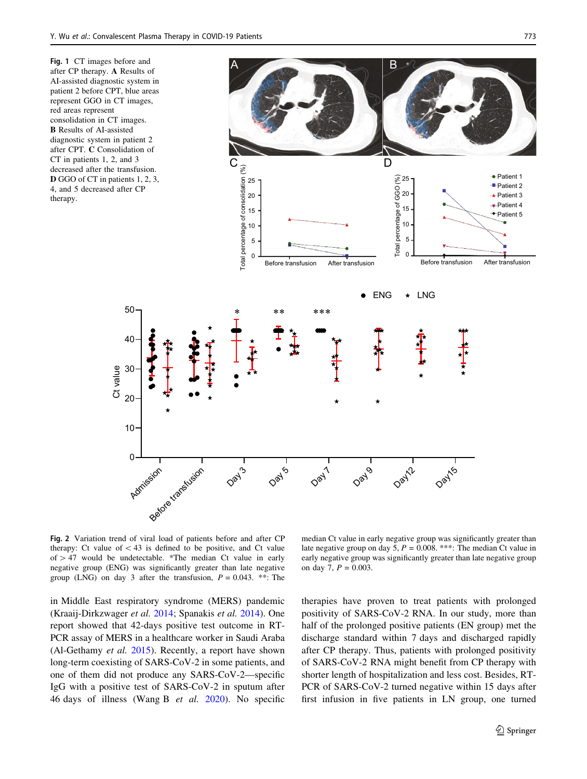<span id="page-5-0"></span>

Fig. 2 Variation trend of viral load of patients before and after CP therapy: Ct value of  $<$  43 is defined to be positive, and Ct value of  $> 47$  would be undetectable. \*The median Ct value in early negative group (ENG) was significantly greater than late negative group (LNG) on day 3 after the transfusion,  $P = 0.043$ . \*\*: The

in Middle East respiratory syndrome (MERS) pandemic (Kraaij-Dirkzwager et al. [2014](#page-7-0); Spanakis et al. [2014\)](#page-7-0). One report showed that 42-days positive test outcome in RT-PCR assay of MERS in a healthcare worker in Saudi Araba (Al-Gethamy et al. [2015](#page-6-0)). Recently, a report have shown long-term coexisting of SARS-CoV-2 in some patients, and one of them did not produce any SARS-CoV-2—specific IgG with a positive test of SARS-CoV-2 in sputum after 46 days of illness (Wang B et al. [2020](#page-7-0)). No specific

median Ct value in early negative group was significantly greater than late negative group on day 5,  $P = 0.008$ . \*\*\*: The median Ct value in early negative group was significantly greater than late negative group on day 7,  $P = 0.003$ .

therapies have proven to treat patients with prolonged positivity of SARS-CoV-2 RNA. In our study, more than half of the prolonged positive patients (EN group) met the discharge standard within 7 days and discharged rapidly after CP therapy. Thus, patients with prolonged positivity of SARS-CoV-2 RNA might benefit from CP therapy with shorter length of hospitalization and less cost. Besides, RT-PCR of SARS-CoV-2 turned negative within 15 days after first infusion in five patients in LN group, one turned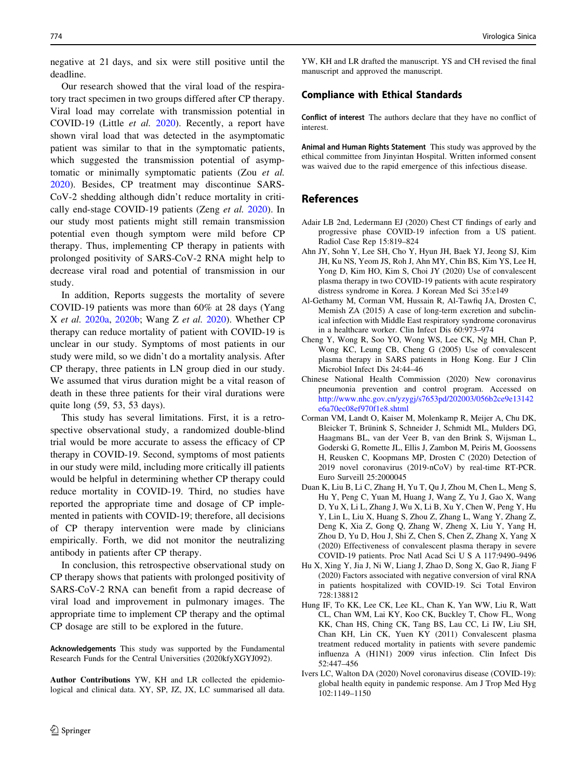<span id="page-6-0"></span>negative at 21 days, and six were still positive until the deadline.

Our research showed that the viral load of the respiratory tract specimen in two groups differed after CP therapy. Viral load may correlate with transmission potential in COVID-19 (Little et al. [2020](#page-7-0)). Recently, a report have shown viral load that was detected in the asymptomatic patient was similar to that in the symptomatic patients, which suggested the transmission potential of asymptomatic or minimally symptomatic patients (Zou et al. [2020\)](#page-7-0). Besides, CP treatment may discontinue SARS-CoV-2 shedding although didn't reduce mortality in critically end-stage COVID-19 patients (Zeng et al. [2020](#page-7-0)). In our study most patients might still remain transmission potential even though symptom were mild before CP therapy. Thus, implementing CP therapy in patients with prolonged positivity of SARS-CoV-2 RNA might help to decrease viral road and potential of transmission in our study.

In addition, Reports suggests the mortality of severe COVID-19 patients was more than 60% at 28 days (Yang X et al. [2020a,](#page-7-0) [2020b;](#page-7-0) Wang Z et al. [2020\)](#page-7-0). Whether CP therapy can reduce mortality of patient with COVID-19 is unclear in our study. Symptoms of most patients in our study were mild, so we didn't do a mortality analysis. After CP therapy, three patients in LN group died in our study. We assumed that virus duration might be a vital reason of death in these three patients for their viral durations were quite long (59, 53, 53 days).

This study has several limitations. First, it is a retrospective observational study, a randomized double-blind trial would be more accurate to assess the efficacy of CP therapy in COVID-19. Second, symptoms of most patients in our study were mild, including more critically ill patients would be helpful in determining whether CP therapy could reduce mortality in COVID-19. Third, no studies have reported the appropriate time and dosage of CP implemented in patients with COVID-19; therefore, all decisions of CP therapy intervention were made by clinicians empirically. Forth, we did not monitor the neutralizing antibody in patients after CP therapy.

In conclusion, this retrospective observational study on CP therapy shows that patients with prolonged positivity of SARS-CoV-2 RNA can benefit from a rapid decrease of viral load and improvement in pulmonary images. The appropriate time to implement CP therapy and the optimal CP dosage are still to be explored in the future.

Acknowledgements This study was supported by the Fundamental Research Funds for the Central Universities (2020kfyXGYJ092).

Author Contributions YW, KH and LR collected the epidemiological and clinical data. XY, SP, JZ, JX, LC summarised all data.

YW, KH and LR drafted the manuscript. YS and CH revised the final manuscript and approved the manuscript.

#### Compliance with Ethical Standards

Conflict of interest The authors declare that they have no conflict of interest.

Animal and Human Rights Statement This study was approved by the ethical committee from Jinyintan Hospital. Written informed consent was waived due to the rapid emergence of this infectious disease.

## References

- Adair LB 2nd, Ledermann EJ (2020) Chest CT findings of early and progressive phase COVID-19 infection from a US patient. Radiol Case Rep 15:819–824
- Ahn JY, Sohn Y, Lee SH, Cho Y, Hyun JH, Baek YJ, Jeong SJ, Kim JH, Ku NS, Yeom JS, Roh J, Ahn MY, Chin BS, Kim YS, Lee H, Yong D, Kim HO, Kim S, Choi JY (2020) Use of convalescent plasma therapy in two COVID-19 patients with acute respiratory distress syndrome in Korea. J Korean Med Sci 35:e149
- Al-Gethamy M, Corman VM, Hussain R, Al-Tawfiq JA, Drosten C, Memish ZA (2015) A case of long-term excretion and subclinical infection with Middle East respiratory syndrome coronavirus in a healthcare worker. Clin Infect Dis 60:973–974
- Cheng Y, Wong R, Soo YO, Wong WS, Lee CK, Ng MH, Chan P, Wong KC, Leung CB, Cheng G (2005) Use of convalescent plasma therapy in SARS patients in Hong Kong. Eur J Clin Microbiol Infect Dis 24:44–46
- Chinese National Health Commission (2020) New coronavirus pneumonia prevention and control program. Accessed on [http://www.nhc.gov.cn/yzygj/s7653pd/202003/056b2ce9e13142](http://www.nhc.gov.cn/yzygj/s7653pd/202003/056b2ce9e13142e6a70ec08ef970f1e8.shtml) [e6a70ec08ef970f1e8.shtml](http://www.nhc.gov.cn/yzygj/s7653pd/202003/056b2ce9e13142e6a70ec08ef970f1e8.shtml)
- Corman VM, Landt O, Kaiser M, Molenkamp R, Meijer A, Chu DK, Bleicker T, Brünink S, Schneider J, Schmidt ML, Mulders DG, Haagmans BL, van der Veer B, van den Brink S, Wijsman L, Goderski G, Romette JL, Ellis J, Zambon M, Peiris M, Goossens H, Reusken C, Koopmans MP, Drosten C (2020) Detection of 2019 novel coronavirus (2019-nCoV) by real-time RT-PCR. Euro Surveill 25:2000045
- Duan K, Liu B, Li C, Zhang H, Yu T, Qu J, Zhou M, Chen L, Meng S, Hu Y, Peng C, Yuan M, Huang J, Wang Z, Yu J, Gao X, Wang D, Yu X, Li L, Zhang J, Wu X, Li B, Xu Y, Chen W, Peng Y, Hu Y, Lin L, Liu X, Huang S, Zhou Z, Zhang L, Wang Y, Zhang Z, Deng K, Xia Z, Gong Q, Zhang W, Zheng X, Liu Y, Yang H, Zhou D, Yu D, Hou J, Shi Z, Chen S, Chen Z, Zhang X, Yang X (2020) Effectiveness of convalescent plasma therapy in severe COVID-19 patients. Proc Natl Acad Sci U S A 117:9490–9496
- Hu X, Xing Y, Jia J, Ni W, Liang J, Zhao D, Song X, Gao R, Jiang F (2020) Factors associated with negative conversion of viral RNA in patients hospitalized with COVID-19. Sci Total Environ 728:138812
- Hung IF, To KK, Lee CK, Lee KL, Chan K, Yan WW, Liu R, Watt CL, Chan WM, Lai KY, Koo CK, Buckley T, Chow FL, Wong KK, Chan HS, Ching CK, Tang BS, Lau CC, Li IW, Liu SH, Chan KH, Lin CK, Yuen KY (2011) Convalescent plasma treatment reduced mortality in patients with severe pandemic influenza A (H1N1) 2009 virus infection. Clin Infect Dis 52:447–456
- Ivers LC, Walton DA (2020) Novel coronavirus disease (COVID-19): global health equity in pandemic response. Am J Trop Med Hyg 102:1149–1150